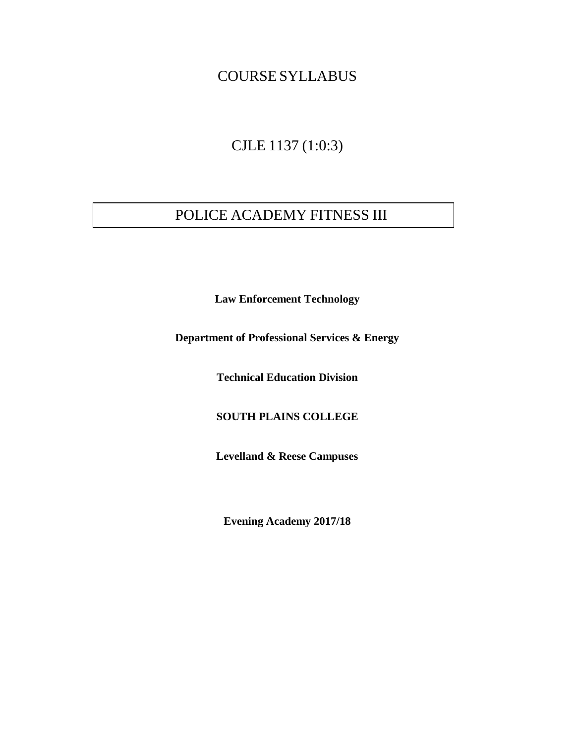### COURSE SYLLABUS

# CJLE 1137 (1:0:3)

# POLICE ACADEMY FITNESS III

**Law Enforcement Technology** 

**Department of Professional Services & Energy**

**Technical Education Division** 

**SOUTH PLAINS COLLEGE**

**Levelland & Reese Campuses**

**Evening Academy 2017/18**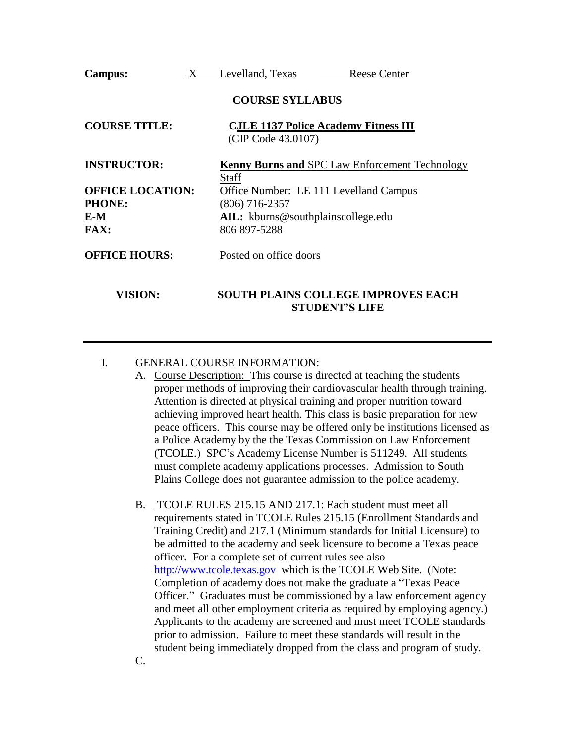| <b>Campus:</b>          | X<br>Levelland, Texas<br><b>Reese Center</b>                          |
|-------------------------|-----------------------------------------------------------------------|
|                         | <b>COURSE SYLLABUS</b>                                                |
| <b>COURSE TITLE:</b>    | <b>CJLE 1137 Police Academy Fitness III</b><br>(CIP Code 43.0107)     |
| <b>INSTRUCTOR:</b>      | <b>Kenny Burns and SPC Law Enforcement Technology</b><br><b>Staff</b> |
| <b>OFFICE LOCATION:</b> | Office Number: LE 111 Levelland Campus                                |
| <b>PHONE:</b>           | $(806)$ 716-2357                                                      |
| E-M                     | AIL: kburns@southplainscollege.edu                                    |
| <b>FAX:</b>             | 806 897-5288                                                          |
| <b>OFFICE HOURS:</b>    | Posted on office doors                                                |
| <b>VISION:</b>          | <b>SOUTH PLAINS COLLEGE IMPROVES EACH</b><br><b>STUDENT'S LIFE</b>    |

#### I. GENERAL COURSE INFORMATION:

- A. Course Description: This course is directed at teaching the students proper methods of improving their cardiovascular health through training. Attention is directed at physical training and proper nutrition toward achieving improved heart health. This class is basic preparation for new peace officers. This course may be offered only be institutions licensed as a Police Academy by the the Texas Commission on Law Enforcement (TCOLE.) SPC's Academy License Number is 511249. All students must complete academy applications processes. Admission to South Plains College does not guarantee admission to the police academy.
- B. TCOLE RULES 215.15 AND 217.1: Each student must meet all requirements stated in TCOLE Rules 215.15 (Enrollment Standards and Training Credit) and 217.1 (Minimum standards for Initial Licensure) to be admitted to the academy and seek licensure to become a Texas peace officer. For a complete set of current rules see also [http://www.tcole.texas.gov w](http://www.tcole.texas.gov/)hich is the TCOLE Web Site. (Note: Completion of academy does not make the graduate a "Texas Peace Officer." Graduates must be commissioned by a law enforcement agency and meet all other employment criteria as required by employing agency.) Applicants to the academy are screened and must meet TCOLE standards prior to admission. Failure to meet these standards will result in the student being immediately dropped from the class and program of study.

C.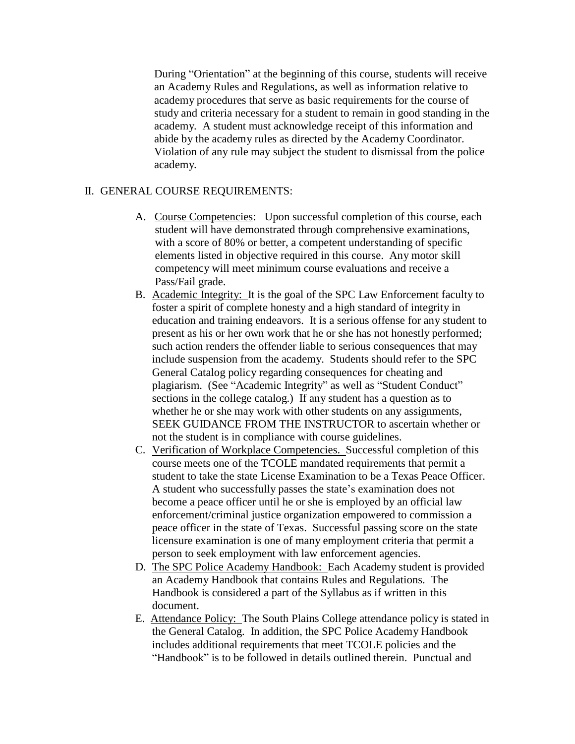During "Orientation" at the beginning of this course, students will receive an Academy Rules and Regulations, as well as information relative to academy procedures that serve as basic requirements for the course of study and criteria necessary for a student to remain in good standing in the academy. A student must acknowledge receipt of this information and abide by the academy rules as directed by the Academy Coordinator. Violation of any rule may subject the student to dismissal from the police academy.

### II. GENERAL COURSE REQUIREMENTS:

- A. Course Competencies: Upon successful completion of this course, each student will have demonstrated through comprehensive examinations, with a score of 80% or better, a competent understanding of specific elements listed in objective required in this course. Any motor skill competency will meet minimum course evaluations and receive a Pass/Fail grade.
- B. Academic Integrity: It is the goal of the SPC Law Enforcement faculty to foster a spirit of complete honesty and a high standard of integrity in education and training endeavors. It is a serious offense for any student to present as his or her own work that he or she has not honestly performed; such action renders the offender liable to serious consequences that may include suspension from the academy. Students should refer to the SPC General Catalog policy regarding consequences for cheating and plagiarism. (See "Academic Integrity" as well as "Student Conduct" sections in the college catalog.) If any student has a question as to whether he or she may work with other students on any assignments, SEEK GUIDANCE FROM THE INSTRUCTOR to ascertain whether or not the student is in compliance with course guidelines.
- C. Verification of Workplace Competencies. Successful completion of this course meets one of the TCOLE mandated requirements that permit a student to take the state License Examination to be a Texas Peace Officer. A student who successfully passes the state's examination does not become a peace officer until he or she is employed by an official law enforcement/criminal justice organization empowered to commission a peace officer in the state of Texas. Successful passing score on the state licensure examination is one of many employment criteria that permit a person to seek employment with law enforcement agencies.
- D. The SPC Police Academy Handbook: Each Academy student is provided an Academy Handbook that contains Rules and Regulations. The Handbook is considered a part of the Syllabus as if written in this document.
- E. Attendance Policy: The South Plains College attendance policy is stated in the General Catalog. In addition, the SPC Police Academy Handbook includes additional requirements that meet TCOLE policies and the "Handbook" is to be followed in details outlined therein. Punctual and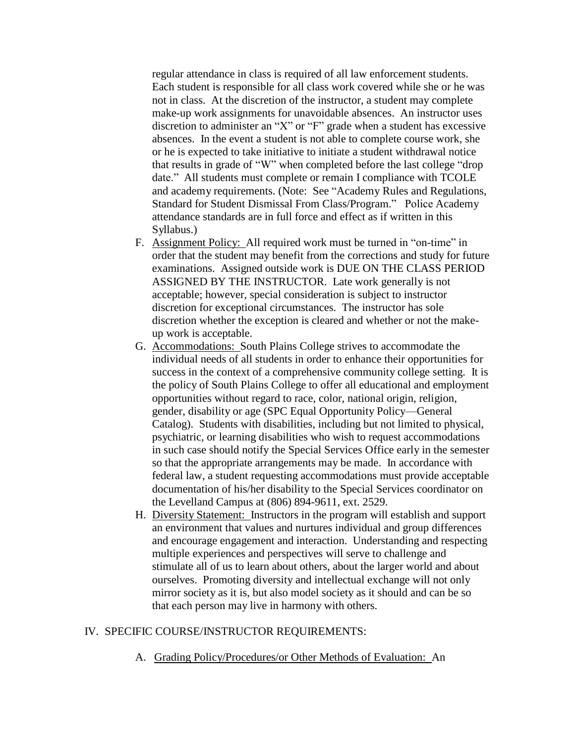regular attendance in class is required of all law enforcement students. Each student is responsible for all class work covered while she or he was not in class. At the discretion of the instructor, a student may complete make-up work assignments for unavoidable absences. An instructor uses discretion to administer an "X" or "F" grade when a student has excessive absences. In the event a student is not able to complete course work, she or he is expected to take initiative to initiate a student withdrawal notice that results in grade of "W" when completed before the last college "drop date." All students must complete or remain I compliance with TCOLE and academy requirements. (Note: See "Academy Rules and Regulations, Standard for Student Dismissal From Class/Program." Police Academy attendance standards are in full force and effect as if written in this Syllabus.)

- F. Assignment Policy: All required work must be turned in "on-time" in order that the student may benefit from the corrections and study for future examinations. Assigned outside work is DUE ON THE CLASS PERIOD ASSIGNED BY THE INSTRUCTOR. Late work generally is not acceptable; however, special consideration is subject to instructor discretion for exceptional circumstances. The instructor has sole discretion whether the exception is cleared and whether or not the makeup work is acceptable.
- G. Accommodations: South Plains College strives to accommodate the individual needs of all students in order to enhance their opportunities for success in the context of a comprehensive community college setting. It is the policy of South Plains College to offer all educational and employment opportunities without regard to race, color, national origin, religion, gender, disability or age (SPC Equal Opportunity Policy—General Catalog). Students with disabilities, including but not limited to physical, psychiatric, or learning disabilities who wish to request accommodations in such case should notify the Special Services Office early in the semester so that the appropriate arrangements may be made. In accordance with federal law, a student requesting accommodations must provide acceptable documentation of his/her disability to the Special Services coordinator on the Levelland Campus at (806) 894-9611, ext. 2529.
- H. Diversity Statement: Instructors in the program will establish and support an environment that values and nurtures individual and group differences and encourage engagement and interaction. Understanding and respecting multiple experiences and perspectives will serve to challenge and stimulate all of us to learn about others, about the larger world and about ourselves. Promoting diversity and intellectual exchange will not only mirror society as it is, but also model society as it should and can be so that each person may live in harmony with others.

#### IV. SPECIFIC COURSE/INSTRUCTOR REQUIREMENTS:

A. Grading Policy/Procedures/or Other Methods of Evaluation: An